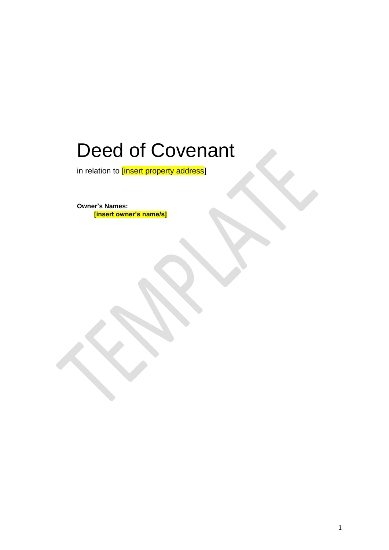# Deed of Covenant

in relation to *[insert property address]* 

**Owner's Names: [insert owner's name/s]**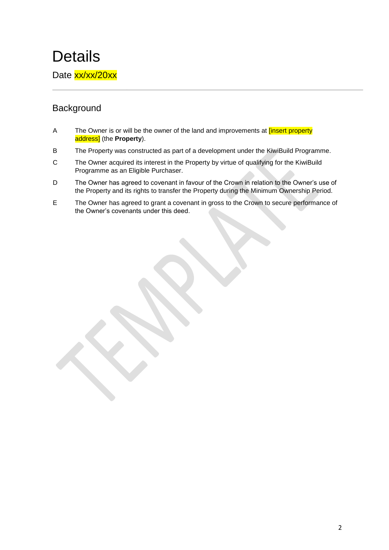## **Details**

Date xx/xx/20xx

### **Background**

- A The Owner is or will be the owner of the land and improvements at *[insert property* address] (the **Property**).
- B The Property was constructed as part of a development under the KiwiBuild Programme.
- C The Owner acquired its interest in the Property by virtue of qualifying for the KiwiBuild Programme as an Eligible Purchaser.
- D The Owner has agreed to covenant in favour of the Crown in relation to the Owner's use of the Property and its rights to transfer the Property during the Minimum Ownership Period.
- E The Owner has agreed to grant a covenant in gross to the Crown to secure performance of the Owner's covenants under this deed.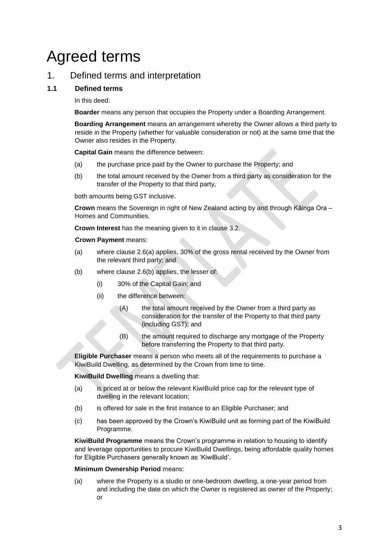## Agreed terms

### 1. Defined terms and interpretation

#### **1.1 Defined terms**

In this deed:

**Boarder** means any person that occupies the Property under a Boarding Arrangement.

**Boarding Arrangement** means an arrangement whereby the Owner allows a third party to reside in the Property (whether for valuable consideration or not) at the same time that the Owner also resides in the Property.

**Capital Gain** means the difference between:

- (a) the purchase price paid by the Owner to purchase the Property; and
- (b) the total amount received by the Owner from a third party as consideration for the transfer of the Property to that third party,

both amounts being GST inclusive.

**Crown** means the Sovereign in right of New Zealand acting by and through Kāinga Ora – Homes and Communities.

**Crown Interest** has the meaning given to it in clause 3.2.

**Crown Payment** means:

- (a) where clause 2.6(a) applies, 30% of the gross rental received by the Owner from the relevant third party; and
- (b) where clause 2.6(b) applies, the lesser of:
	- (i) 30% of the Capital Gain; and
	- (ii) the difference between:
		- (A) the total amount received by the Owner from a third party as consideration for the transfer of the Property to that third party (including GST); and
		- (B) the amount required to discharge any mortgage of the Property before transferring the Property to that third party.

**Eligible Purchaser** means a person who meets all of the requirements to purchase a KiwiBuild Dwelling, as determined by the Crown from time to time.

**KiwiBuild Dwelling** means a dwelling that:

- (a) is priced at or below the relevant KiwiBuild price cap for the relevant type of dwelling in the relevant location;
- (b) is offered for sale in the first instance to an Eligible Purchaser; and
- (c) has been approved by the Crown's KiwiBuild unit as forming part of the KiwiBuild Programme.

**KiwiBuild Programme** means the Crown's programme in relation to housing to identify and leverage opportunities to procure KiwiBuild Dwellings, being affordable quality homes for Eligible Purchasers generally known as 'KiwiBuild'.

#### **Minimum Ownership Period** means:

(a) where the Property is a studio or one-bedroom dwelling, a one-year period from and including the date on which the Owner is registered as owner of the Property; or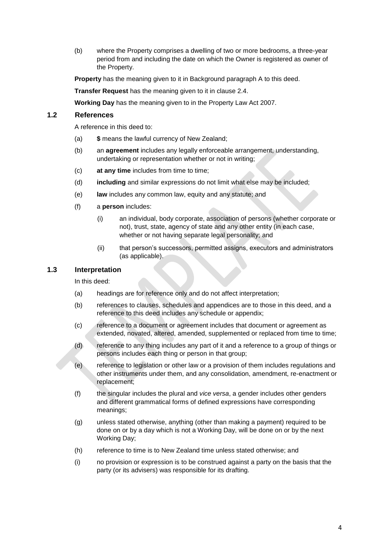(b) where the Property comprises a dwelling of two or more bedrooms, a three-year period from and including the date on which the Owner is registered as owner of the Property.

**Property** has the meaning given to it in Background paragraph A to this deed.

**Transfer Request** has the meaning given to it in clause 2.4.

**Working Day** has the meaning given to in the Property Law Act 2007.

#### **1.2 References**

A reference in this deed to:

- (a) **\$** means the lawful currency of New Zealand;
- (b) an **agreement** includes any legally enforceable arrangement, understanding, undertaking or representation whether or not in writing;
- (c) **at any time** includes from time to time;
- (d) **including** and similar expressions do not limit what else may be included;
- (e) **law** includes any common law, equity and any statute; and
- (f) a **person** includes:
	- (i) an individual, body corporate, association of persons (whether corporate or not), trust, state, agency of state and any other entity (in each case, whether or not having separate legal personality; and
	- (ii) that person's successors, permitted assigns, executors and administrators (as applicable).

#### **1.3 Interpretation**

In this deed:

- (a) headings are for reference only and do not affect interpretation;
- (b) references to clauses, schedules and appendices are to those in this deed, and a reference to this deed includes any schedule or appendix;
- (c) reference to a document or agreement includes that document or agreement as extended, novated, altered, amended, supplemented or replaced from time to time;
- (d) reference to any thing includes any part of it and a reference to a group of things or persons includes each thing or person in that group;
- (e) reference to legislation or other law or a provision of them includes regulations and other instruments under them, and any consolidation, amendment, re-enactment or replacement;
- (f) the singular includes the plural and *vice versa*, a gender includes other genders and different grammatical forms of defined expressions have corresponding meanings;
- (g) unless stated otherwise, anything (other than making a payment) required to be done on or by a day which is not a Working Day, will be done on or by the next Working Day;
- (h) reference to time is to New Zealand time unless stated otherwise; and
- (i) no provision or expression is to be construed against a party on the basis that the party (or its advisers) was responsible for its drafting.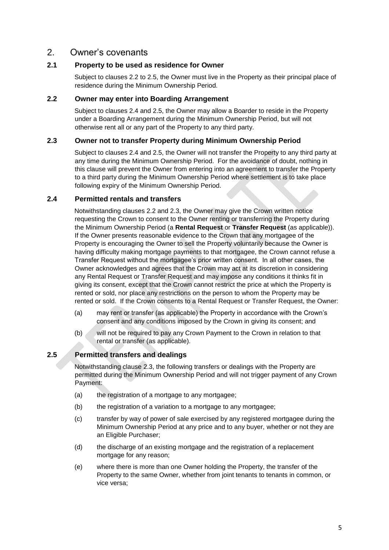#### 2. Owner's covenants

#### **2.1 Property to be used as residence for Owner**

Subject to clauses 2.2 to 2.5, the Owner must live in the Property as their principal place of residence during the Minimum Ownership Period.

#### **2.2 Owner may enter into Boarding Arrangement**

Subject to clauses 2.4 and 2.5, the Owner may allow a Boarder to reside in the Property under a Boarding Arrangement during the Minimum Ownership Period, but will not otherwise rent all or any part of the Property to any third party.

#### **2.3 Owner not to transfer Property during Minimum Ownership Period**

Subject to clauses 2.4 and 2.5, the Owner will not transfer the Property to any third party at any time during the Minimum Ownership Period. For the avoidance of doubt, nothing in this clause will prevent the Owner from entering into an agreement to transfer the Property to a third party during the Minimum Ownership Period where settlement is to take place following expiry of the Minimum Ownership Period.

#### **2.4 Permitted rentals and transfers**

Notwithstanding clauses 2.2 and 2.3, the Owner may give the Crown written notice requesting the Crown to consent to the Owner renting or transferring the Property during the Minimum Ownership Period (a **Rental Request** or **Transfer Request** (as applicable)). If the Owner presents reasonable evidence to the Crown that any mortgagee of the Property is encouraging the Owner to sell the Property voluntarily because the Owner is having difficulty making mortgage payments to that mortgagee, the Crown cannot refuse a Transfer Request without the mortgagee's prior written consent. In all other cases, the Owner acknowledges and agrees that the Crown may act at its discretion in considering any Rental Request or Transfer Request and may impose any conditions it thinks fit in giving its consent, except that the Crown cannot restrict the price at which the Property is rented or sold, nor place any restrictions on the person to whom the Property may be rented or sold. If the Crown consents to a Rental Request or Transfer Request, the Owner:

- (a) may rent or transfer (as applicable) the Property in accordance with the Crown's consent and any conditions imposed by the Crown in giving its consent; and
- (b) will not be required to pay any Crown Payment to the Crown in relation to that rental or transfer (as applicable).

#### **2.5 Permitted transfers and dealings**

Notwithstanding clause 2.3, the following transfers or dealings with the Property are permitted during the Minimum Ownership Period and will not trigger payment of any Crown Payment:

- (a) the registration of a mortgage to any mortgagee;
- (b) the registration of a variation to a mortgage to any mortgagee;
- (c) transfer by way of power of sale exercised by any registered mortgagee during the Minimum Ownership Period at any price and to any buyer, whether or not they are an Eligible Purchaser;
- (d) the discharge of an existing mortgage and the registration of a replacement mortgage for any reason;
- (e) where there is more than one Owner holding the Property, the transfer of the Property to the same Owner, whether from joint tenants to tenants in common, or vice versa;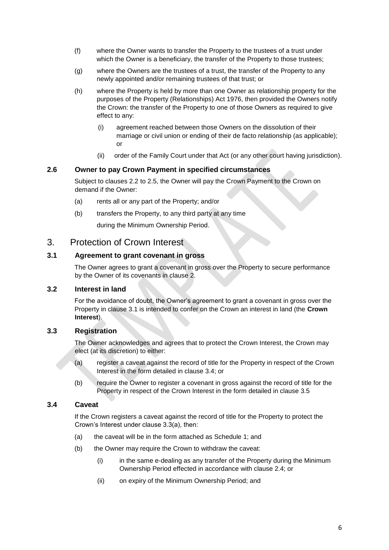- (f) where the Owner wants to transfer the Property to the trustees of a trust under which the Owner is a beneficiary, the transfer of the Property to those trustees;
- (g) where the Owners are the trustees of a trust, the transfer of the Property to any newly appointed and/or remaining trustees of that trust; or
- (h) where the Property is held by more than one Owner as relationship property for the purposes of the Property (Relationships) Act 1976, then provided the Owners notify the Crown: the transfer of the Property to one of those Owners as required to give effect to any:
	- (i) agreement reached between those Owners on the dissolution of their marriage or civil union or ending of their de facto relationship (as applicable); or
	- (ii) order of the Family Court under that Act (or any other court having jurisdiction).

#### **2.6 Owner to pay Crown Payment in specified circumstances**

Subject to clauses 2.2 to 2.5, the Owner will pay the Crown Payment to the Crown on demand if the Owner:

- (a) rents all or any part of the Property; and/or
- (b) transfers the Property, to any third party at any time

during the Minimum Ownership Period.

#### 3. Protection of Crown Interest

#### **3.1 Agreement to grant covenant in gross**

The Owner agrees to grant a covenant in gross over the Property to secure performance by the Owner of its covenants in clause 2.

#### **3.2 Interest in land**

For the avoidance of doubt, the Owner's agreement to grant a covenant in gross over the Property in clause 3.1 is intended to confer on the Crown an interest in land (the **Crown Interest**).

#### **3.3 Registration**

The Owner acknowledges and agrees that to protect the Crown Interest, the Crown may elect (at its discretion) to either:

- (a) register a caveat against the record of title for the Property in respect of the Crown Interest in the form detailed in clause 3.4; or
- (b) require the Owner to register a covenant in gross against the record of title for the Property in respect of the Crown Interest in the form detailed in clause 3.5

#### **3.4 Caveat**

If the Crown registers a caveat against the record of title for the Property to protect the Crown's Interest under clause 3.3(a), then:

- (a) the caveat will be in the form attached as Schedule 1; and
- (b) the Owner may require the Crown to withdraw the caveat:
	- (i) in the same e-dealing as any transfer of the Property during the Minimum Ownership Period effected in accordance with clause 2.4; or
	- (ii) on expiry of the Minimum Ownership Period; and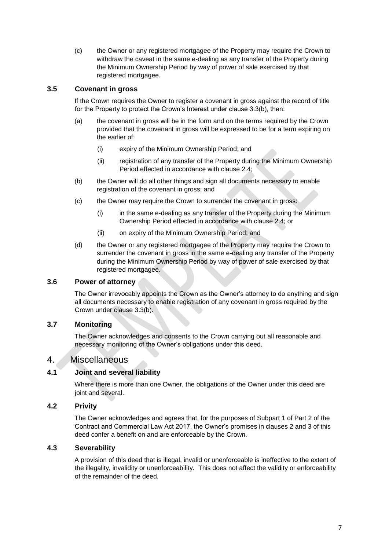(c) the Owner or any registered mortgagee of the Property may require the Crown to withdraw the caveat in the same e-dealing as any transfer of the Property during the Minimum Ownership Period by way of power of sale exercised by that registered mortgagee.

#### **3.5 Covenant in gross**

If the Crown requires the Owner to register a covenant in gross against the record of title for the Property to protect the Crown's Interest under clause 3.3(b), then:

- (a) the covenant in gross will be in the form and on the terms required by the Crown provided that the covenant in gross will be expressed to be for a term expiring on the earlier of:
	- (i) expiry of the Minimum Ownership Period; and
	- (ii) registration of any transfer of the Property during the Minimum Ownership Period effected in accordance with clause 2.4;
- (b) the Owner will do all other things and sign all documents necessary to enable registration of the covenant in gross; and
- (c) the Owner may require the Crown to surrender the covenant in gross:
	- (i) in the same e-dealing as any transfer of the Property during the Minimum Ownership Period effected in accordance with clause 2.4; or
	- (ii) on expiry of the Minimum Ownership Period; and
- (d) the Owner or any registered mortgagee of the Property may require the Crown to surrender the covenant in gross in the same e-dealing any transfer of the Property during the Minimum Ownership Period by way of power of sale exercised by that registered mortgagee.

#### **3.6 Power of attorney**

The Owner irrevocably appoints the Crown as the Owner's attorney to do anything and sign all documents necessary to enable registration of any covenant in gross required by the Crown under clause 3.3(b).

#### **3.7 Monitoring**

The Owner acknowledges and consents to the Crown carrying out all reasonable and necessary monitoring of the Owner's obligations under this deed.

#### 4. Miscellaneous

#### **4.1 Joint and several liability**

Where there is more than one Owner, the obligations of the Owner under this deed are joint and several.

#### **4.2 Privity**

The Owner acknowledges and agrees that, for the purposes of Subpart 1 of Part 2 of the Contract and Commercial Law Act 2017, the Owner's promises in clauses 2 and 3 of this deed confer a benefit on and are enforceable by the Crown.

#### **4.3 Severability**

A provision of this deed that is illegal, invalid or unenforceable is ineffective to the extent of the illegality, invalidity or unenforceability. This does not affect the validity or enforceability of the remainder of the deed.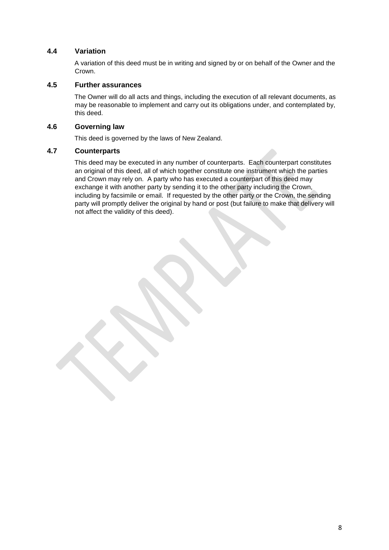#### **4.4 Variation**

A variation of this deed must be in writing and signed by or on behalf of the Owner and the Crown.

#### **4.5 Further assurances**

The Owner will do all acts and things, including the execution of all relevant documents, as may be reasonable to implement and carry out its obligations under, and contemplated by, this deed.

#### **4.6 Governing law**

This deed is governed by the laws of New Zealand.

#### **4.7 Counterparts**

This deed may be executed in any number of counterparts. Each counterpart constitutes an original of this deed, all of which together constitute one instrument which the parties and Crown may rely on. A party who has executed a counterpart of this deed may exchange it with another party by sending it to the other party including the Crown, including by facsimile or email. If requested by the other party or the Crown, the sending party will promptly deliver the original by hand or post (but failure to make that delivery will not affect the validity of this deed).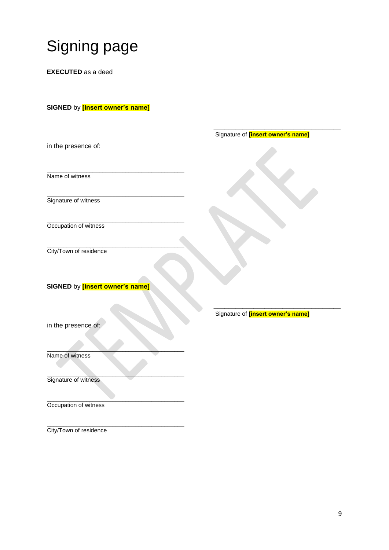# Signing page

**EXECUTED** as a deed

#### **SIGNED** by **[insert owner's name]**

|                                        | Signature of <i>[insert owner's name]</i> |
|----------------------------------------|-------------------------------------------|
| in the presence of:                    |                                           |
|                                        |                                           |
|                                        |                                           |
| Name of witness                        |                                           |
|                                        |                                           |
| Signature of witness                   |                                           |
|                                        |                                           |
|                                        |                                           |
| Occupation of witness                  |                                           |
|                                        |                                           |
| City/Town of residence                 |                                           |
|                                        |                                           |
|                                        |                                           |
| SIGNED by <b>[insert owner's name]</b> |                                           |
|                                        |                                           |
|                                        |                                           |
|                                        | Signature of <i>[insert owner's name]</i> |
| in the presence of:                    |                                           |
|                                        |                                           |
|                                        |                                           |
| Name of witness                        |                                           |
|                                        |                                           |
| Signature of witness                   |                                           |
|                                        |                                           |
|                                        |                                           |
| Occupation of witness                  |                                           |

\_\_\_\_\_\_\_\_\_\_\_\_\_\_\_\_\_\_\_\_\_\_\_\_\_\_\_\_\_\_\_\_\_\_\_\_\_\_\_\_\_\_ City/Town of residence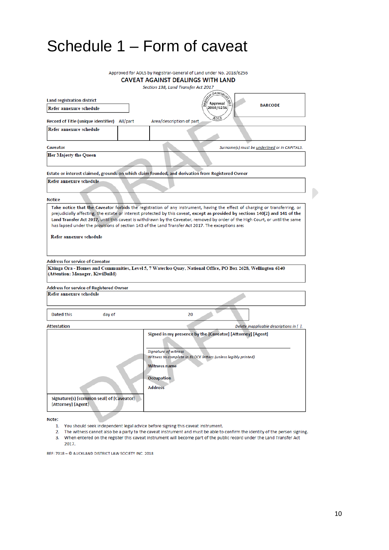## Schedule 1 – Form of caveat

|                                              | Approved for ADLS by Registrar-General of Land under No. 2018/6256                                                             |
|----------------------------------------------|--------------------------------------------------------------------------------------------------------------------------------|
|                                              | <b>CAVEAT AGAINST DEALINGS WITH LAND</b>                                                                                       |
|                                              | Section 138, Land Transfer Act 2017                                                                                            |
|                                              | Genera)                                                                                                                        |
| <b>Land registration district</b>            | Approval<br><b>BARCODE</b>                                                                                                     |
| Refer annexure schedule                      | 2018/6256                                                                                                                      |
|                                              | ADLS                                                                                                                           |
| Record of Title (unique identifier) All/part | Area/description of part                                                                                                       |
| Refer annexure schedule                      |                                                                                                                                |
|                                              |                                                                                                                                |
| Caveator                                     | Surname(s) must be underlined or in CAPITALS.                                                                                  |
| Her Majesty the Queen                        |                                                                                                                                |
|                                              |                                                                                                                                |
|                                              | Estate or interest claimed, grounds on which claim founded, and derivation from Registered Owner                               |
|                                              |                                                                                                                                |
| Refer annexure schedule                      |                                                                                                                                |
|                                              |                                                                                                                                |
| <b>Notice</b>                                |                                                                                                                                |
|                                              | Take notice that the Caveator forbids the registration of any instrument, having the effect of charging or transferring, or    |
|                                              | prejudicially affecting, the estate or interest protected by this caveat, except as provided by sections 140(2) and 141 of the |
|                                              | Land Transfer Act 2017, until this caveat is withdrawn by the Caveator, removed by order of the High Court, or until the same  |
|                                              | has lapsed under the provisions of section 143 of the Land Transfer Act 2017. The exceptions are:                              |
| Refer annexure schedule                      |                                                                                                                                |
|                                              |                                                                                                                                |
|                                              |                                                                                                                                |
|                                              |                                                                                                                                |
| <b>Address for service of Caveator</b>       |                                                                                                                                |
| (Attention: Manager, KiwiBuild)              | Käinga Ora - Homes and Communities, Level 5, 7 Waterloo Quay, National Office, PO Box 2628, Wellington 6140                    |
|                                              |                                                                                                                                |
| Address for service of Registered Owner      |                                                                                                                                |
| Refer annexure schedule                      |                                                                                                                                |
|                                              |                                                                                                                                |
|                                              |                                                                                                                                |
| Dated this<br>day of                         | 20                                                                                                                             |
|                                              |                                                                                                                                |
| <b>Attestation</b>                           | Delete inapplicable descriptions in [ ].                                                                                       |
|                                              | Signed in my presence by the [Caveator] [Attorney] [Agent]                                                                     |
|                                              |                                                                                                                                |
|                                              | Signature of witness                                                                                                           |
|                                              | Witness to complete in BLOCK letters (unless legibly printed)                                                                  |
|                                              | <b>Witness name</b>                                                                                                            |
|                                              |                                                                                                                                |
|                                              | <b>Occupation</b>                                                                                                              |
|                                              | <b>Address</b>                                                                                                                 |
|                                              |                                                                                                                                |
| Signature(s) [common seal] of [Caveator]     |                                                                                                                                |
| [Attorney] [Agent]                           |                                                                                                                                |
|                                              |                                                                                                                                |

Note:

- 1. You should seek independent legal advice before signing this caveat instrument.
- 2. The witness cannot also be a party to the caveat instrument and must be able to confirm the identity of the person signing. 3. When entered on the register this caveat instrument will become part of the public record under the Land Transfer Act 2017.

REF: 7018 - © AUCKLAND DISTRICT LAW SOCIETY INC. 2018

 $\begin{array}{c} \hline \end{array}$